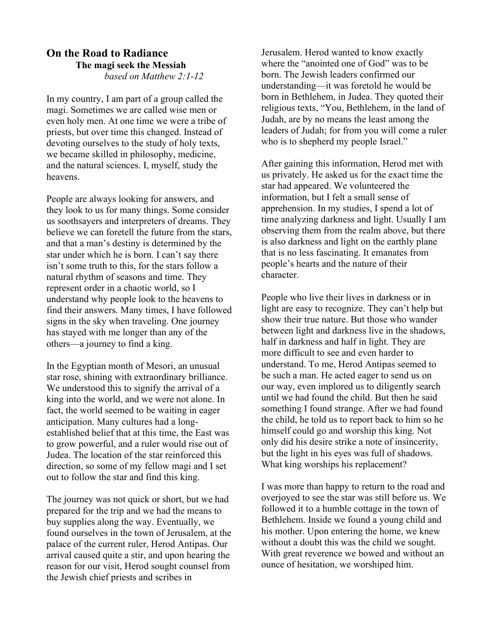## On the Road to Radiance The magi seek the Messiah based on Matthew 2:1-12

In my country, I am part of a group called the magi. Sometimes we are called wise men or even holy men. At one time we were a tribe of priests, but over time this changed. Instead of devoting ourselves to the study of holy texts, we became skilled in philosophy, medicine, and the natural sciences. I, myself, study the heavens.

People are always looking for answers, and they look to us for many things. Some consider us soothsayers and interpreters of dreams. They believe we can foretell the future from the stars, and that a man's destiny is determined by the star under which he is born. I can't say there isn't some truth to this, for the stars follow a natural rhythm of seasons and time. They represent order in a chaotic world, so I understand why people look to the heavens to find their answers. Many times, I have followed signs in the sky when traveling. One journey has stayed with me longer than any of the others—a journey to find a king.

In the Egyptian month of Mesori, an unusual star rose, shining with extraordinary brilliance. We understood this to signify the arrival of a king into the world, and we were not alone. In fact, the world seemed to be waiting in eager anticipation. Many cultures had a longestablished belief that at this time, the East was to grow powerful, and a ruler would rise out of Judea. The location of the star reinforced this direction, so some of my fellow magi and I set out to follow the star and find this king.

The journey was not quick or short, but we had prepared for the trip and we had the means to buy supplies along the way. Eventually, we found ourselves in the town of Jerusalem, at the palace of the current ruler, Herod Antipas. Our arrival caused quite a stir, and upon hearing the reason for our visit, Herod sought counsel from the Jewish chief priests and scribes in

Jerusalem. Herod wanted to know exactly where the "anointed one of God" was to be born. The Jewish leaders confirmed our understanding—it was foretold he would be born in Bethlehem, in Judea. They quoted their religious texts, "You, Bethlehem, in the land of Judah, are by no means the least among the leaders of Judah; for from you will come a ruler who is to shepherd my people Israel."

After gaining this information, Herod met with us privately. He asked us for the exact time the star had appeared. We volunteered the information, but I felt a small sense of apprehension. In my studies, I spend a lot of time analyzing darkness and light. Usually I am observing them from the realm above, but there is also darkness and light on the earthly plane that is no less fascinating. It emanates from people's hearts and the nature of their character.

People who live their lives in darkness or in light are easy to recognize. They can't help but show their true nature. But those who wander between light and darkness live in the shadows, half in darkness and half in light. They are more difficult to see and even harder to understand. To me, Herod Antipas seemed to be such a man. He acted eager to send us on our way, even implored us to diligently search until we had found the child. But then he said something I found strange. After we had found the child, he told us to report back to him so he himself could go and worship this king. Not only did his desire strike a note of insincerity, but the light in his eyes was full of shadows. What king worships his replacement?

I was more than happy to return to the road and overjoyed to see the star was still before us. We followed it to a humble cottage in the town of Bethlehem. Inside we found a young child and his mother. Upon entering the home, we knew without a doubt this was the child we sought. With great reverence we bowed and without an ounce of hesitation, we worshiped him.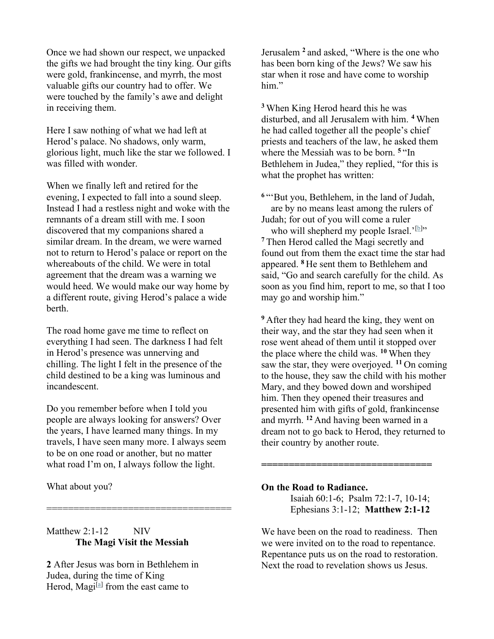Once we had shown our respect, we unpacked the gifts we had brought the tiny king. Our gifts were gold, frankincense, and myrrh, the most valuable gifts our country had to offer. We were touched by the family's awe and delight in receiving them.

Here I saw nothing of what we had left at Herod's palace. No shadows, only warm, glorious light, much like the star we followed. I was filled with wonder.

When we finally left and retired for the evening, I expected to fall into a sound sleep. Instead I had a restless night and woke with the remnants of a dream still with me. I soon discovered that my companions shared a similar dream. In the dream, we were warned not to return to Herod's palace or report on the whereabouts of the child. We were in total agreement that the dream was a warning we would heed. We would make our way home by a different route, giving Herod's palace a wide berth.

The road home gave me time to reflect on everything I had seen. The darkness I had felt in Herod's presence was unnerving and chilling. The light I felt in the presence of the child destined to be a king was luminous and incandescent.

Do you remember before when I told you people are always looking for answers? Over the years, I have learned many things. In my travels, I have seen many more. I always seem to be on one road or another, but no matter what road I'm on, I always follow the light.

==================================

What about you?

## Matthew  $2:1-12$  NIV The Magi Visit the Messiah

2 After Jesus was born in Bethlehem in Judea, during the time of King Herod, Magi<sup>[a]</sup> from the east came to

Jerusalem <sup>2</sup> and asked, "Where is the one who has been born king of the Jews? We saw his star when it rose and have come to worship him."

<sup>3</sup>When King Herod heard this he was disturbed, and all Jerusalem with him. <sup>4</sup>When he had called together all the people's chief priests and teachers of the law, he asked them where the Messiah was to be born.<sup>5</sup> "In Bethlehem in Judea," they replied, "for this is what the prophet has written:

<sup>6</sup> "But you, Bethlehem, in the land of Judah, are by no means least among the rulers of Judah; for out of you will come a ruler who will shepherd my people Israel.'<sup>[b]</sup>" <sup>7</sup>Then Herod called the Magi secretly and found out from them the exact time the star had appeared. <sup>8</sup>He sent them to Bethlehem and said, "Go and search carefully for the child. As soon as you find him, report to me, so that I too may go and worship him."

<sup>9</sup>After they had heard the king, they went on their way, and the star they had seen when it rose went ahead of them until it stopped over the place where the child was.  $10$  When they saw the star, they were overjoyed.  $11$  On coming to the house, they saw the child with his mother Mary, and they bowed down and worshiped him. Then they opened their treasures and presented him with gifts of gold, frankincense and myrrh. <sup>12</sup> And having been warned in a dream not to go back to Herod, they returned to their country by another route.

## On the Road to Radiance.

Isaiah 60:1-6; Psalm 72:1-7, 10-14; Ephesians 3:1-12; Matthew 2:1-12

===============================

We have been on the road to readiness. Then we were invited on to the road to repentance. Repentance puts us on the road to restoration. Next the road to revelation shows us Jesus.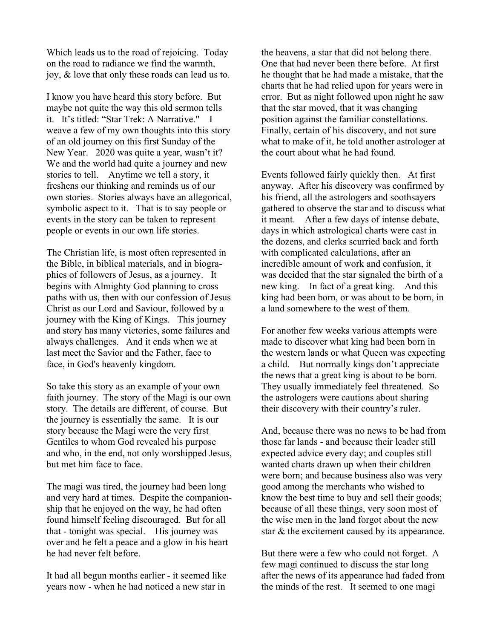Which leads us to the road of rejoicing. Today on the road to radiance we find the warmth, joy, & love that only these roads can lead us to.

I know you have heard this story before. But maybe not quite the way this old sermon tells it. It's titled: "Star Trek: A Narrative." I weave a few of my own thoughts into this story of an old journey on this first Sunday of the New Year. 2020 was quite a year, wasn't it? We and the world had quite a journey and new stories to tell. Anytime we tell a story, it freshens our thinking and reminds us of our own stories. Stories always have an allegorical, symbolic aspect to it. That is to say people or events in the story can be taken to represent people or events in our own life stories.

The Christian life, is most often represented in the Bible, in biblical materials, and in biographies of followers of Jesus, as a journey. It begins with Almighty God planning to cross paths with us, then with our confession of Jesus Christ as our Lord and Saviour, followed by a journey with the King of Kings. This journey and story has many victories, some failures and always challenges. And it ends when we at last meet the Savior and the Father, face to face, in God's heavenly kingdom.

So take this story as an example of your own faith journey. The story of the Magi is our own story. The details are different, of course. But the journey is essentially the same. It is our story because the Magi were the very first Gentiles to whom God revealed his purpose and who, in the end, not only worshipped Jesus, but met him face to face.

The magi was tired, the journey had been long and very hard at times. Despite the companionship that he enjoyed on the way, he had often found himself feeling discouraged. But for all that - tonight was special. His journey was over and he felt a peace and a glow in his heart he had never felt before.

It had all begun months earlier - it seemed like years now - when he had noticed a new star in the heavens, a star that did not belong there. One that had never been there before. At first he thought that he had made a mistake, that the charts that he had relied upon for years were in error. But as night followed upon night he saw that the star moved, that it was changing position against the familiar constellations. Finally, certain of his discovery, and not sure what to make of it, he told another astrologer at the court about what he had found.

Events followed fairly quickly then. At first anyway. After his discovery was confirmed by his friend, all the astrologers and soothsayers gathered to observe the star and to discuss what it meant. After a few days of intense debate, days in which astrological charts were cast in the dozens, and clerks scurried back and forth with complicated calculations, after an incredible amount of work and confusion, it was decided that the star signaled the birth of a new king. In fact of a great king. And this king had been born, or was about to be born, in a land somewhere to the west of them.

For another few weeks various attempts were made to discover what king had been born in the western lands or what Queen was expecting a child. But normally kings don't appreciate the news that a great king is about to be born. They usually immediately feel threatened. So the astrologers were cautions about sharing their discovery with their country's ruler.

And, because there was no news to be had from those far lands - and because their leader still expected advice every day; and couples still wanted charts drawn up when their children were born; and because business also was very good among the merchants who wished to know the best time to buy and sell their goods; because of all these things, very soon most of the wise men in the land forgot about the new star & the excitement caused by its appearance.

But there were a few who could not forget. A few magi continued to discuss the star long after the news of its appearance had faded from the minds of the rest. It seemed to one magi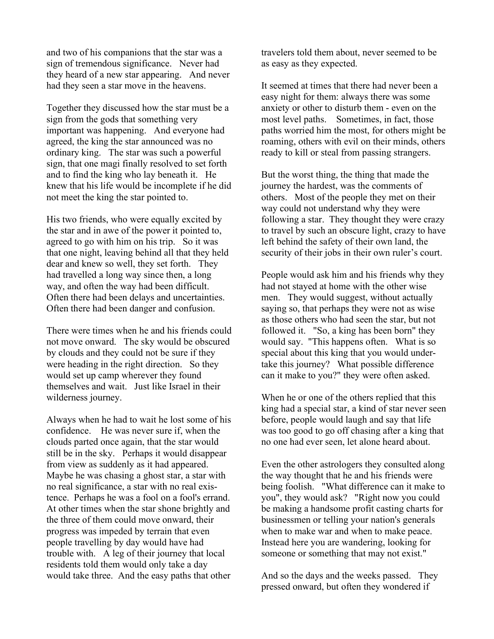and two of his companions that the star was a sign of tremendous significance. Never had they heard of a new star appearing. And never had they seen a star move in the heavens.

Together they discussed how the star must be a sign from the gods that something very important was happening. And everyone had agreed, the king the star announced was no ordinary king. The star was such a powerful sign, that one magi finally resolved to set forth and to find the king who lay beneath it. He knew that his life would be incomplete if he did not meet the king the star pointed to.

His two friends, who were equally excited by the star and in awe of the power it pointed to, agreed to go with him on his trip. So it was that one night, leaving behind all that they held dear and knew so well, they set forth. They had travelled a long way since then, a long way, and often the way had been difficult. Often there had been delays and uncertainties. Often there had been danger and confusion.

There were times when he and his friends could not move onward. The sky would be obscured by clouds and they could not be sure if they were heading in the right direction. So they would set up camp wherever they found themselves and wait. Just like Israel in their wilderness journey.

Always when he had to wait he lost some of his confidence. He was never sure if, when the clouds parted once again, that the star would still be in the sky. Perhaps it would disappear from view as suddenly as it had appeared. Maybe he was chasing a ghost star, a star with no real significance, a star with no real existence. Perhaps he was a fool on a fool's errand. At other times when the star shone brightly and the three of them could move onward, their progress was impeded by terrain that even people travelling by day would have had trouble with. A leg of their journey that local residents told them would only take a day would take three. And the easy paths that other travelers told them about, never seemed to be as easy as they expected.

It seemed at times that there had never been a easy night for them: always there was some anxiety or other to disturb them - even on the most level paths. Sometimes, in fact, those paths worried him the most, for others might be roaming, others with evil on their minds, others ready to kill or steal from passing strangers.

But the worst thing, the thing that made the journey the hardest, was the comments of others. Most of the people they met on their way could not understand why they were following a star. They thought they were crazy to travel by such an obscure light, crazy to have left behind the safety of their own land, the security of their jobs in their own ruler's court.

People would ask him and his friends why they had not stayed at home with the other wise men. They would suggest, without actually saying so, that perhaps they were not as wise as those others who had seen the star, but not followed it. "So, a king has been born" they would say. "This happens often. What is so special about this king that you would undertake this journey? What possible difference can it make to you?" they were often asked.

When he or one of the others replied that this king had a special star, a kind of star never seen before, people would laugh and say that life was too good to go off chasing after a king that no one had ever seen, let alone heard about.

Even the other astrologers they consulted along the way thought that he and his friends were being foolish. "What difference can it make to you", they would ask? "Right now you could be making a handsome profit casting charts for businessmen or telling your nation's generals when to make war and when to make peace. Instead here you are wandering, looking for someone or something that may not exist."

And so the days and the weeks passed. They pressed onward, but often they wondered if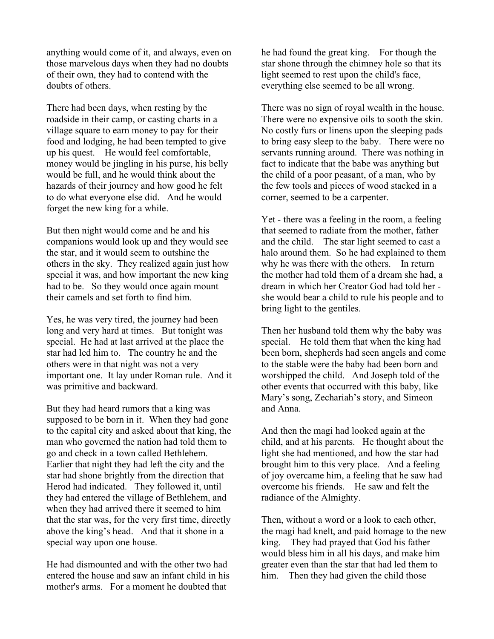anything would come of it, and always, even on those marvelous days when they had no doubts of their own, they had to contend with the doubts of others.

There had been days, when resting by the roadside in their camp, or casting charts in a village square to earn money to pay for their food and lodging, he had been tempted to give up his quest. He would feel comfortable, money would be jingling in his purse, his belly would be full, and he would think about the hazards of their journey and how good he felt to do what everyone else did. And he would forget the new king for a while.

But then night would come and he and his companions would look up and they would see the star, and it would seem to outshine the others in the sky. They realized again just how special it was, and how important the new king had to be. So they would once again mount their camels and set forth to find him.

Yes, he was very tired, the journey had been long and very hard at times. But tonight was special. He had at last arrived at the place the star had led him to. The country he and the others were in that night was not a very important one. It lay under Roman rule. And it was primitive and backward.

But they had heard rumors that a king was supposed to be born in it. When they had gone to the capital city and asked about that king, the man who governed the nation had told them to go and check in a town called Bethlehem. Earlier that night they had left the city and the star had shone brightly from the direction that Herod had indicated. They followed it, until they had entered the village of Bethlehem, and when they had arrived there it seemed to him that the star was, for the very first time, directly above the king's head. And that it shone in a special way upon one house.

He had dismounted and with the other two had entered the house and saw an infant child in his mother's arms. For a moment he doubted that

he had found the great king. For though the star shone through the chimney hole so that its light seemed to rest upon the child's face, everything else seemed to be all wrong.

There was no sign of royal wealth in the house. There were no expensive oils to sooth the skin. No costly furs or linens upon the sleeping pads to bring easy sleep to the baby. There were no servants running around. There was nothing in fact to indicate that the babe was anything but the child of a poor peasant, of a man, who by the few tools and pieces of wood stacked in a corner, seemed to be a carpenter.

Yet - there was a feeling in the room, a feeling that seemed to radiate from the mother, father and the child. The star light seemed to cast a halo around them. So he had explained to them why he was there with the others. In return the mother had told them of a dream she had, a dream in which her Creator God had told her she would bear a child to rule his people and to bring light to the gentiles.

Then her husband told them why the baby was special. He told them that when the king had been born, shepherds had seen angels and come to the stable were the baby had been born and worshipped the child. And Joseph told of the other events that occurred with this baby, like Mary's song, Zechariah's story, and Simeon and Anna.

And then the magi had looked again at the child, and at his parents. He thought about the light she had mentioned, and how the star had brought him to this very place. And a feeling of joy overcame him, a feeling that he saw had overcome his friends. He saw and felt the radiance of the Almighty.

Then, without a word or a look to each other, the magi had knelt, and paid homage to the new king. They had prayed that God his father would bless him in all his days, and make him greater even than the star that had led them to him. Then they had given the child those